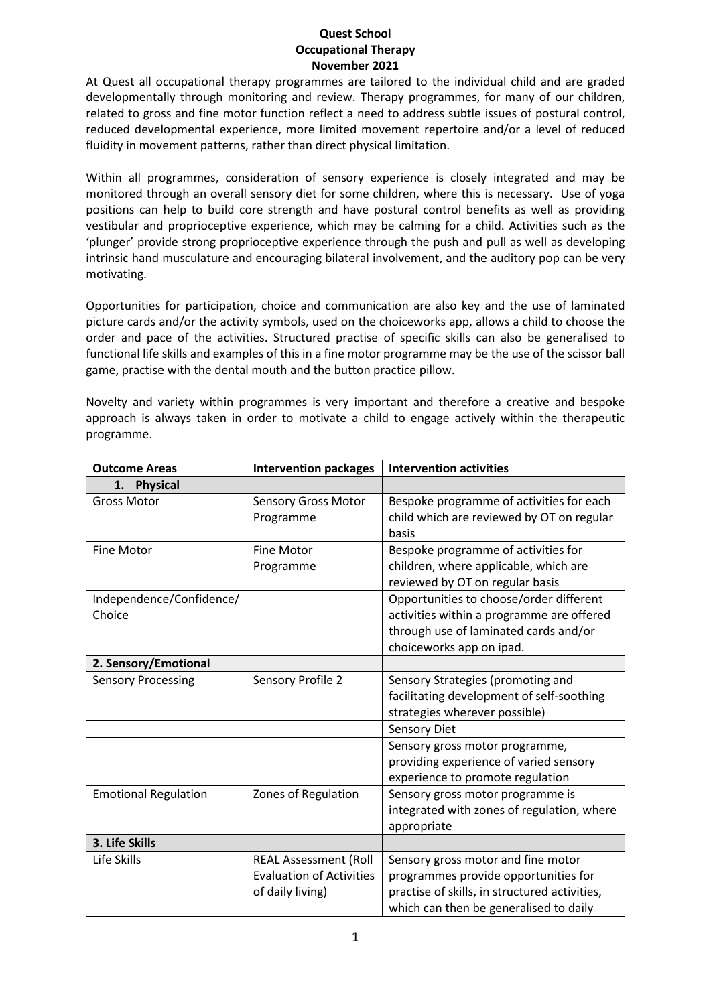## **Quest School Occupational Therapy November 2021**

At Quest all occupational therapy programmes are tailored to the individual child and are graded developmentally through monitoring and review. Therapy programmes, for many of our children, related to gross and fine motor function reflect a need to address subtle issues of postural control, reduced developmental experience, more limited movement repertoire and/or a level of reduced fluidity in movement patterns, rather than direct physical limitation.

Within all programmes, consideration of sensory experience is closely integrated and may be monitored through an overall sensory diet for some children, where this is necessary. Use of yoga positions can help to build core strength and have postural control benefits as well as providing vestibular and proprioceptive experience, which may be calming for a child. Activities such as the 'plunger' provide strong proprioceptive experience through the push and pull as well as developing intrinsic hand musculature and encouraging bilateral involvement, and the auditory pop can be very motivating.

Opportunities for participation, choice and communication are also key and the use of laminated picture cards and/or the activity symbols, used on the choiceworks app, allows a child to choose the order and pace of the activities. Structured practise of specific skills can also be generalised to functional life skills and examples of this in a fine motor programme may be the use of the scissor ball game, practise with the dental mouth and the button practice pillow.

Novelty and variety within programmes is very important and therefore a creative and bespoke approach is always taken in order to motivate a child to engage actively within the therapeutic programme.

| <b>Outcome Areas</b>               | <b>Intervention packages</b>                                                        | <b>Intervention activities</b>                                                                                                                                        |
|------------------------------------|-------------------------------------------------------------------------------------|-----------------------------------------------------------------------------------------------------------------------------------------------------------------------|
| <b>Physical</b><br>1.              |                                                                                     |                                                                                                                                                                       |
| <b>Gross Motor</b>                 | <b>Sensory Gross Motor</b><br>Programme                                             | Bespoke programme of activities for each<br>child which are reviewed by OT on regular<br>basis                                                                        |
| <b>Fine Motor</b>                  | <b>Fine Motor</b><br>Programme                                                      | Bespoke programme of activities for<br>children, where applicable, which are<br>reviewed by OT on regular basis                                                       |
| Independence/Confidence/<br>Choice |                                                                                     | Opportunities to choose/order different<br>activities within a programme are offered<br>through use of laminated cards and/or<br>choiceworks app on ipad.             |
| 2. Sensory/Emotional               |                                                                                     |                                                                                                                                                                       |
| <b>Sensory Processing</b>          | Sensory Profile 2                                                                   | Sensory Strategies (promoting and<br>facilitating development of self-soothing<br>strategies wherever possible)                                                       |
|                                    |                                                                                     | <b>Sensory Diet</b>                                                                                                                                                   |
|                                    |                                                                                     | Sensory gross motor programme,<br>providing experience of varied sensory<br>experience to promote regulation                                                          |
| <b>Emotional Regulation</b>        | Zones of Regulation                                                                 | Sensory gross motor programme is<br>integrated with zones of regulation, where<br>appropriate                                                                         |
| 3. Life Skills                     |                                                                                     |                                                                                                                                                                       |
| Life Skills                        | <b>REAL Assessment (Roll</b><br><b>Evaluation of Activities</b><br>of daily living) | Sensory gross motor and fine motor<br>programmes provide opportunities for<br>practise of skills, in structured activities,<br>which can then be generalised to daily |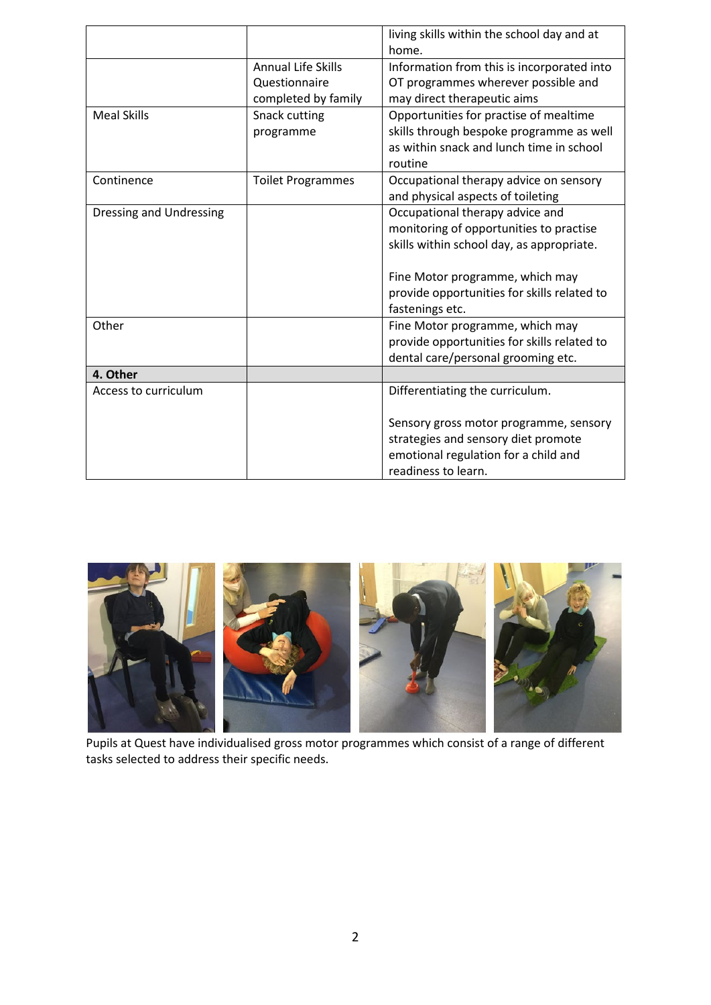|                         |                           | living skills within the school day and at<br>home. |
|-------------------------|---------------------------|-----------------------------------------------------|
|                         | <b>Annual Life Skills</b> | Information from this is incorporated into          |
|                         | Questionnaire             | OT programmes wherever possible and                 |
|                         | completed by family       | may direct therapeutic aims                         |
| <b>Meal Skills</b>      | Snack cutting             | Opportunities for practise of mealtime              |
|                         | programme                 | skills through bespoke programme as well            |
|                         |                           | as within snack and lunch time in school            |
|                         |                           | routine                                             |
| Continence              | <b>Toilet Programmes</b>  | Occupational therapy advice on sensory              |
|                         |                           | and physical aspects of toileting                   |
| Dressing and Undressing |                           | Occupational therapy advice and                     |
|                         |                           | monitoring of opportunities to practise             |
|                         |                           | skills within school day, as appropriate.           |
|                         |                           |                                                     |
|                         |                           | Fine Motor programme, which may                     |
|                         |                           | provide opportunities for skills related to         |
|                         |                           | fastenings etc.                                     |
| Other                   |                           | Fine Motor programme, which may                     |
|                         |                           | provide opportunities for skills related to         |
|                         |                           | dental care/personal grooming etc.                  |
| 4. Other                |                           |                                                     |
| Access to curriculum    |                           | Differentiating the curriculum.                     |
|                         |                           | Sensory gross motor programme, sensory              |
|                         |                           | strategies and sensory diet promote                 |
|                         |                           | emotional regulation for a child and                |
|                         |                           | readiness to learn.                                 |



Pupils at Quest have individualised gross motor programmes which consist of a range of different tasks selected to address their specific needs.